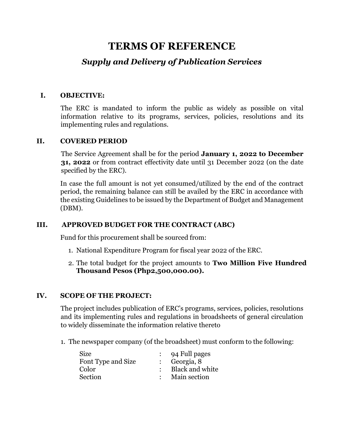# **TERMS OF REFERENCE**

# *Supply and Delivery of Publication Services*

#### **I. OBJECTIVE:**

The ERC is mandated to inform the public as widely as possible on vital information relative to its programs, services, policies, resolutions and its implementing rules and regulations.

#### **II. COVERED PERIOD**

The Service Agreement shall be for the period **January 1, 2022 to December 31, 2022** or from contract effectivity date until 31 December 2022 (on the date specified by the ERC).

In case the full amount is not yet consumed/utilized by the end of the contract period, the remaining balance can still be availed by the ERC in accordance with the existing Guidelines to be issued by the Department of Budget and Management (DBM).

# **III. APPROVED BUDGET FOR THE CONTRACT (ABC)**

Fund for this procurement shall be sourced from:

- 1. National Expenditure Program for fiscal year 2022 of the ERC.
- 2. The total budget for the project amounts to **Two Million Five Hundred Thousand Pesos (Php2,500,000.00).**

# **IV. SCOPE OF THE PROJECT:**

The project includes publication of ERC's programs, services, policies, resolutions and its implementing rules and regulations in broadsheets of general circulation to widely disseminate the information relative thereto

1. The newspaper company (of the broadsheet) must conform to the following:

| <b>Size</b>        | 94 Full pages           |
|--------------------|-------------------------|
| Font Type and Size | $\therefore$ Georgia, 8 |
| Color              | : Black and white       |
| Section            | Main section            |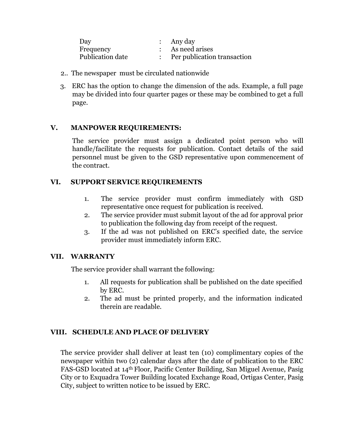| Day              | $:$ Any day                 |
|------------------|-----------------------------|
| Frequency        | As need arises              |
| Publication date | Per publication transaction |

- 2.. The newspaper must be circulated nationwide
- 3. ERC has the option to change the dimension of the ads. Example, a full page may be divided into four quarter pages or these may be combined to get a full page.

#### **V. MANPOWER REQUIREMENTS:**

The service provider must assign a dedicated point person who will handle/facilitate the requests for publication. Contact details of the said personnel must be given to the GSD representative upon commencement of the contract.

# **VI. SUPPORT SERVICE REQUIREMENTS**

- 1. The service provider must confirm immediately with GSD representative once request for publication is received.
- 2. The service provider must submit layout of the ad for approval prior to publication the following day from receipt of the request.
- 3. If the ad was not published on ERC's specified date, the service provider must immediately inform ERC.

#### **VII. WARRANTY**

The service provider shall warrant the following:

- 1. All requests for publication shall be published on the date specified by ERC.
- 2. The ad must be printed properly, and the information indicated therein are readable.

# **VIII. SCHEDULE AND PLACE OF DELIVERY**

The service provider shall deliver at least ten (10) complimentary copies of the newspaper within two (2) calendar days after the date of publication to the ERC FAS-GSD located at 14th Floor, Pacific Center Building, San Miguel Avenue, Pasig City or to Exquadra Tower Building located Exchange Road, Ortigas Center, Pasig City, subject to written notice to be issued by ERC.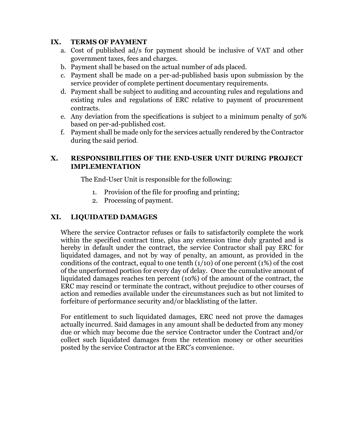# **IX. TERMS OF PAYMENT**

- a. Cost of published ad/s for payment should be inclusive of VAT and other government taxes, fees and charges.
- b. Payment shall be based on the actual number of ads placed.
- c. Payment shall be made on a per-ad-published basis upon submission by the service provider of complete pertinent documentary requirements.
- d. Payment shall be subject to auditing and accounting rules and regulations and existing rules and regulations of ERC relative to payment of procurement contracts.
- e. Any deviation from the specifications is subject to a minimum penalty of 50% based on per-ad-published cost.
- f. Payment shall be made only for the services actually rendered by the Contractor during the said period.

# **X. RESPONSIBILITIES OF THE END-USER UNIT DURING PROJECT IMPLEMENTATION**

The End-User Unit is responsible for the following:

- 1. Provision of the file for proofing and printing;
- 2. Processing of payment.

#### **XI. LIQUIDATED DAMAGES**

Where the service Contractor refuses or fails to satisfactorily complete the work within the specified contract time, plus any extension time duly granted and is hereby in default under the contract, the service Contractor shall pay ERC for liquidated damages, and not by way of penalty, an amount, as provided in the conditions of the contract, equal to one tenth  $(1/10)$  of one percent  $(1%)$  of the cost of the unperformed portion for every day of delay. Once the cumulative amount of liquidated damages reaches ten percent (10%) of the amount of the contract, the ERC may rescind or terminate the contract, without prejudice to other courses of action and remedies available under the circumstances such as but not limited to forfeiture of performance security and/or blacklisting of the latter.

For entitlement to such liquidated damages, ERC need not prove the damages actually incurred. Said damages in any amount shall be deducted from any money due or which may become due the service Contractor under the Contract and/or collect such liquidated damages from the retention money or other securities posted by the service Contractor at the ERC's convenience.